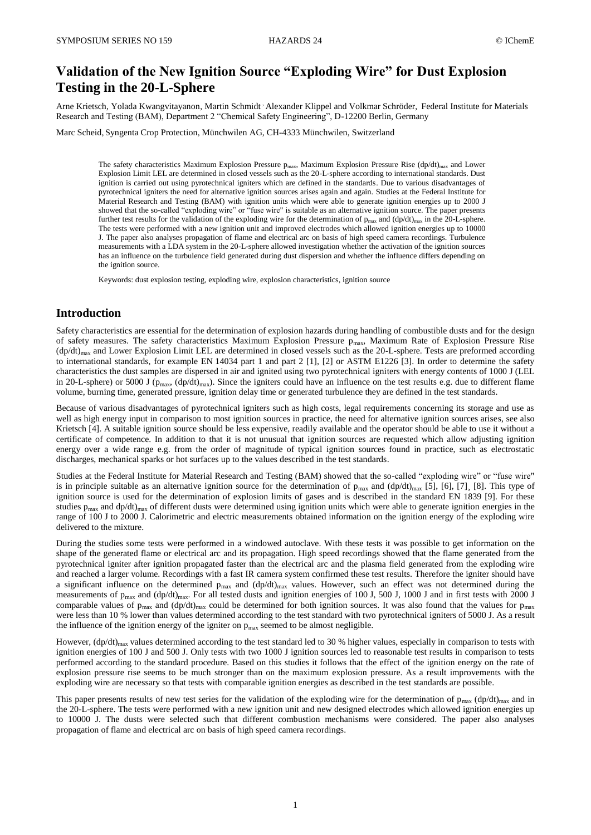# **Validation of the New Ignition Source "Exploding Wire" for Dust Explosion Testing in the 20-L-Sphere**

Arne Krietsch, Yolada Kwangvitayanon, Martin Schmidt , Alexander Klippel and Volkmar Schröder, Federal Institute for Materials Research and Testing (BAM), Department 2 "Chemical Safety Engineering", D-12200 Berlin, Germany

Marc Scheid, Syngenta Crop Protection, Münchwilen AG, CH-4333 Münchwilen, Switzerland

The safety characteristics Maximum Explosion Pressure p<sub>max</sub>, Maximum Explosion Pressure Rise (dp/dt)<sub>max</sub> and Lower Explosion Limit LEL are determined in closed vessels such as the 20-L-sphere according to international standards. Dust ignition is carried out using pyrotechnical igniters which are defined in the standards. Due to various disadvantages of pyrotechnical igniters the need for alternative ignition sources arises again and again. Studies at the Federal Institute for Material Research and Testing (BAM) with ignition units which were able to generate ignition energies up to 2000 J showed that the so-called "exploding wire" or "fuse wire" is suitable as an alternative ignition source. The paper presents further test results for the validation of the exploding wire for the determination of  $p_{max}$  and  $(dp/dt)_{max}$  in the 20-L-sphere. The tests were performed with a new ignition unit and improved electrodes which allowed ignition energies up to 10000 J. The paper also analyses propagation of flame and electrical arc on basis of high speed camera recordings. Turbulence measurements with a LDA system in the 20-L-sphere allowed investigation whether the activation of the ignition sources has an influence on the turbulence field generated during dust dispersion and whether the influence differs depending on the ignition source.

Keywords: dust explosion testing, exploding wire, explosion characteristics, ignition source

## **Introduction**

Safety characteristics are essential for the determination of explosion hazards during handling of combustible dusts and for the design of safety measures. The safety characteristics Maximum Explosion Pressure p<sub>max</sub>, Maximum Rate of Explosion Pressure Rise  $(dp/dt)_{max}$  and Lower Explosion Limit LEL are determined in closed vessels such as the 20-L-sphere. Tests are preformed according to international standards, for example EN 14034 part 1 and part 2 [1], [2] or ASTM E1226 [3]. In order to determine the safety characteristics the dust samples are dispersed in air and ignited using two pyrotechnical igniters with energy contents of 1000 J (LEL in 20-L-sphere) or 5000 J ( $p_{max}$ , (dp/dt)<sub>max</sub>). Since the igniters could have an influence on the test results e.g. due to different flame volume, burning time, generated pressure, ignition delay time or generated turbulence they are defined in the test standards.

Because of various disadvantages of pyrotechnical igniters such as high costs, legal requirements concerning its storage and use as well as high energy input in comparison to most ignition sources in practice, the need for alternative ignition sources arises, see also Krietsch [4]. A suitable ignition source should be less expensive, readily available and the operator should be able to use it without a certificate of competence. In addition to that it is not unusual that ignition sources are requested which allow adjusting ignition energy over a wide range e.g. from the order of magnitude of typical ignition sources found in practice, such as electrostatic discharges, mechanical sparks or hot surfaces up to the values described in the test standards.

Studies at the Federal Institute for Material Research and Testing (BAM) showed that the so-called "exploding wire" or "fuse wire" is in principle suitable as an alternative ignition source for the determination of  $p_{max}$  and  $(dp/dt)_{max}$  [5], [6], [7], [8]. This type of ignition source is used for the determination of explosion limits of gases and is described in the standard EN 1839 [9]. For these studies  $p_{max}$  and dp/dt)<sub>max</sub> of different dusts were determined using ignition units which were able to generate ignition energies in the range of 100 J to 2000 J. Calorimetric and electric measurements obtained information on the ignition energy of the exploding wire delivered to the mixture.

During the studies some tests were performed in a windowed autoclave. With these tests it was possible to get information on the shape of the generated flame or electrical arc and its propagation. High speed recordings showed that the flame generated from the pyrotechnical igniter after ignition propagated faster than the electrical arc and the plasma field generated from the exploding wire and reached a larger volume. Recordings with a fast IR camera system confirmed these test results. Therefore the igniter should have a significant influence on the determined  $p_{max}$  and  $(dp/dt)_{max}$  values. However, such an effect was not determined during the measurements of  $p_{max}$  and  $(dp/dt)_{max}$ . For all tested dusts and ignition energies of 100 J, 500 J, 1000 J and in first tests with 2000 J comparable values of  $p_{max}$  and  $(dp/dt)_{max}$  could be determined for both ignition sources. It was also found that the values for  $p_{max}$ were less than 10 % lower than values determined according to the test standard with two pyrotechnical igniters of 5000 J. As a result the influence of the ignition energy of the igniter on  $p_{\text{max}}$  seemed to be almost negligible.

However,  $(dp/dt)_{max}$  values determined according to the test standard led to 30 % higher values, especially in comparison to tests with ignition energies of 100 J and 500 J. Only tests with two 1000 J ignition sources led to reasonable test results in comparison to tests performed according to the standard procedure. Based on this studies it follows that the effect of the ignition energy on the rate of explosion pressure rise seems to be much stronger than on the maximum explosion pressure. As a result improvements with the exploding wire are necessary so that tests with comparable ignition energies as described in the test standards are possible.

This paper presents results of new test series for the validation of the exploding wire for the determination of  $p_{max}$  (dp/dt)<sub>max</sub> and in the 20-L-sphere. The tests were performed with a new ignition unit and new designed electrodes which allowed ignition energies up to 10000 J. The dusts were selected such that different combustion mechanisms were considered. The paper also analyses propagation of flame and electrical arc on basis of high speed camera recordings.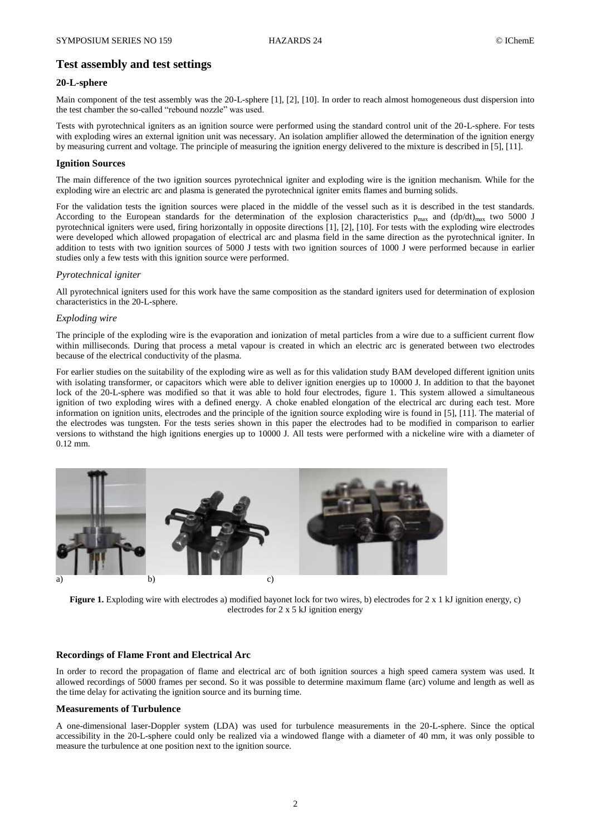## **Test assembly and test settings**

### **20-L-sphere**

Main component of the test assembly was the 20-L-sphere [1], [2], [10]. In order to reach almost homogeneous dust dispersion into the test chamber the so-called "rebound nozzle" was used.

Tests with pyrotechnical igniters as an ignition source were performed using the standard control unit of the 20-L-sphere. For tests with exploding wires an external ignition unit was necessary. An isolation amplifier allowed the determination of the ignition energy by measuring current and voltage. The principle of measuring the ignition energy delivered to the mixture is described in [5], [11].

#### **Ignition Sources**

The main difference of the two ignition sources pyrotechnical igniter and exploding wire is the ignition mechanism. While for the exploding wire an electric arc and plasma is generated the pyrotechnical igniter emits flames and burning solids.

For the validation tests the ignition sources were placed in the middle of the vessel such as it is described in the test standards. According to the European standards for the determination of the explosion characteristics  $p_{max}$  and  $(dp/dt)_{max}$  two 5000 J pyrotechnical igniters were used, firing horizontally in opposite directions [1], [2], [10]. For tests with the exploding wire electrodes were developed which allowed propagation of electrical arc and plasma field in the same direction as the pyrotechnical igniter. In addition to tests with two ignition sources of 5000 J tests with two ignition sources of 1000 J were performed because in earlier studies only a few tests with this ignition source were performed.

### *Pyrotechnical igniter*

All pyrotechnical igniters used for this work have the same composition as the standard igniters used for determination of explosion characteristics in the 20-L-sphere.

#### *Exploding wire*

The principle of the exploding wire is the evaporation and ionization of metal particles from a wire due to a sufficient current flow within milliseconds. During that process a metal vapour is created in which an electric arc is generated between two electrodes because of the electrical conductivity of the plasma.

For earlier studies on the suitability of the exploding wire as well as for this validation study BAM developed different ignition units with isolating transformer, or capacitors which were able to deliver ignition energies up to 10000 J. In addition to that the bayonet lock of the 20-L-sphere was modified so that it was able to hold four electrodes, figure 1. This system allowed a simultaneous ignition of two exploding wires with a defined energy. A choke enabled elongation of the electrical arc during each test. More information on ignition units, electrodes and the principle of the ignition source exploding wire is found in [5], [11]. The material of the electrodes was tungsten. For the tests series shown in this paper the electrodes had to be modified in comparison to earlier versions to withstand the high ignitions energies up to 10000 J. All tests were performed with a nickeline wire with a diameter of 0.12 mm.



**Figure 1.** Exploding wire with electrodes a) modified bayonet lock for two wires, b) electrodes for 2 x 1 kJ ignition energy, c) electrodes for 2 x 5 kJ ignition energy

### **Recordings of Flame Front and Electrical Arc**

In order to record the propagation of flame and electrical arc of both ignition sources a high speed camera system was used. It allowed recordings of 5000 frames per second. So it was possible to determine maximum flame (arc) volume and length as well as the time delay for activating the ignition source and its burning time.

#### **Measurements of Turbulence**

A one-dimensional laser-Doppler system (LDA) was used for turbulence measurements in the 20-L-sphere. Since the optical accessibility in the 20-L-sphere could only be realized via a windowed flange with a diameter of 40 mm, it was only possible to measure the turbulence at one position next to the ignition source.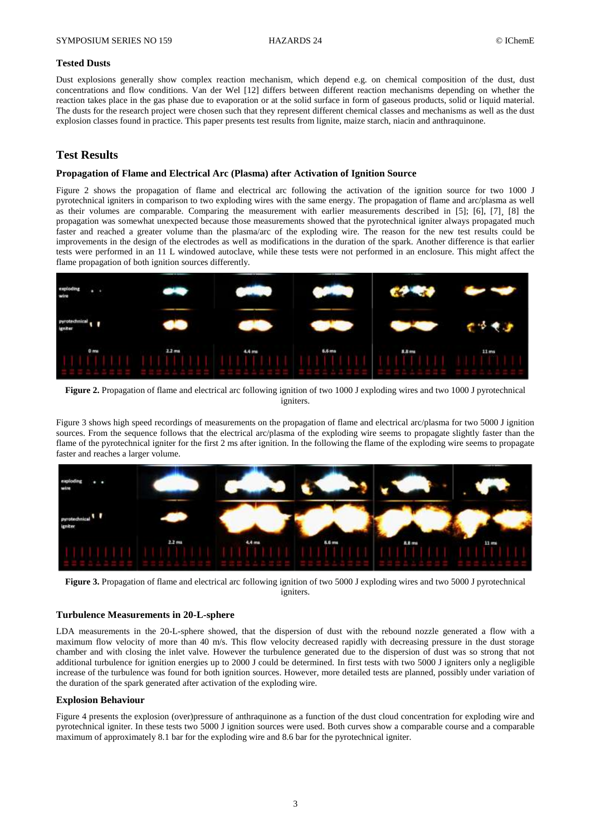#### **Tested Dusts**

Dust explosions generally show complex reaction mechanism, which depend e.g. on chemical composition of the dust, dust concentrations and flow conditions. Van der Wel [12] differs between different reaction mechanisms depending on whether the reaction takes place in the gas phase due to evaporation or at the solid surface in form of gaseous products, solid or liquid material. The dusts for the research project were chosen such that they represent different chemical classes and mechanisms as well as the dust explosion classes found in practice. This paper presents test results from lignite, maize starch, niacin and anthraquinone.

## **Test Results**

#### **Propagation of Flame and Electrical Arc (Plasma) after Activation of Ignition Source**

Figure 2 shows the propagation of flame and electrical arc following the activation of the ignition source for two 1000 J pyrotechnical igniters in comparison to two exploding wires with the same energy. The propagation of flame and arc/plasma as well as their volumes are comparable. Comparing the measurement with earlier measurements described in [5]; [6], [7]¸ [8] the propagation was somewhat unexpected because those measurements showed that the pyrotechnical igniter always propagated much faster and reached a greater volume than the plasma/arc of the exploding wire. The reason for the new test results could be improvements in the design of the electrodes as well as modifications in the duration of the spark. Another difference is that earlier tests were performed in an 11 L windowed autoclave, while these tests were not performed in an enclosure. This might affect the flame propagation of both ignition sources differently.



**Figure 2.** Propagation of flame and electrical arc following ignition of two 1000 J exploding wires and two 1000 J pyrotechnical igniters.

Figure 3 shows high speed recordings of measurements on the propagation of flame and electrical arc/plasma for two 5000 J ignition sources. From the sequence follows that the electrical arc/plasma of the exploding wire seems to propagate slightly faster than the flame of the pyrotechnical igniter for the first 2 ms after ignition. In the following the flame of the exploding wire seems to propagate faster and reaches a larger volume.



**Figure 3.** Propagation of flame and electrical arc following ignition of two 5000 J exploding wires and two 5000 J pyrotechnical igniters.

#### **Turbulence Measurements in 20-L-sphere**

LDA measurements in the 20-L-sphere showed, that the dispersion of dust with the rebound nozzle generated a flow with a maximum flow velocity of more than 40 m/s. This flow velocity decreased rapidly with decreasing pressure in the dust storage chamber and with closing the inlet valve. However the turbulence generated due to the dispersion of dust was so strong that not additional turbulence for ignition energies up to 2000 J could be determined. In first tests with two 5000 J igniters only a negligible increase of the turbulence was found for both ignition sources. However, more detailed tests are planned, possibly under variation of the duration of the spark generated after activation of the exploding wire.

#### **Explosion Behaviour**

Figure 4 presents the explosion (over)pressure of anthraquinone as a function of the dust cloud concentration for exploding wire and pyrotechnical igniter. In these tests two 5000 J ignition sources were used. Both curves show a comparable course and a comparable maximum of approximately 8.1 bar for the exploding wire and 8.6 bar for the pyrotechnical igniter.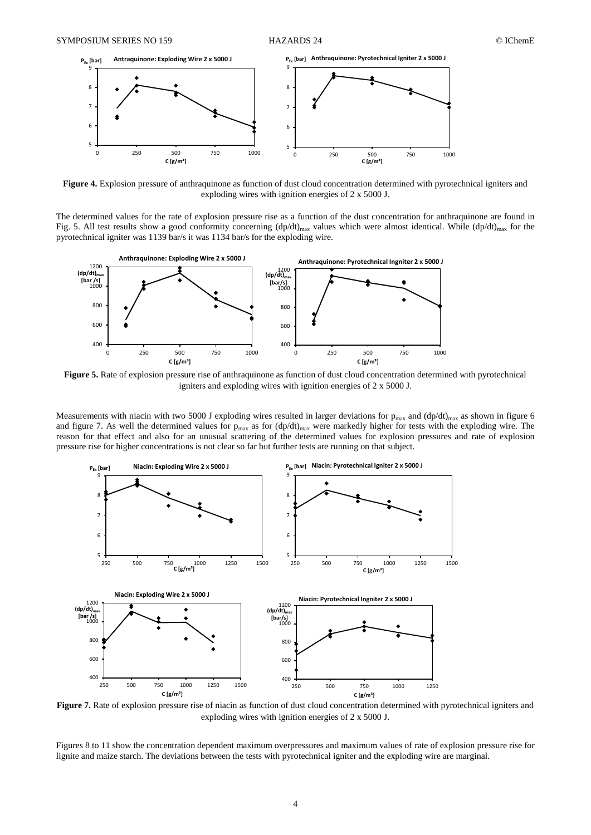

**Figure 4.** Explosion pressure of anthraquinone as function of dust cloud concentration determined with pyrotechnical igniters and exploding wires with ignition energies of 2 x 5000 J.

The determined values for the rate of explosion pressure rise as a function of the dust concentration for anthraquinone are found in Fig. 5. All test results show a good conformity concerning  $(dp/dt)_{max}$  values which were almost identical. While  $(dp/dt)_{max}$  for the pyrotechnical igniter was 1139 bar/s it was 1134 bar/s for the exploding wire.



**Figure 5.** Rate of explosion pressure rise of anthraquinone as function of dust cloud concentration determined with pyrotechnical igniters and exploding wires with ignition energies of 2 x 5000 J.

Measurements with niacin with two 5000 J exploding wires resulted in larger deviations for  $p_{max}$  and  $(dp/dt)_{max}$  as shown in figure 6 and figure 7. As well the determined values for  $p_{max}$  as for  $(dp/dt)_{max}$  were markedly higher for tests with the exploding wire. The reason for that effect and also for an unusual scattering of the determined values for explosion pressures and rate of explosion pressure rise for higher concentrations is not clear so far but further tests are running on that subject.



**Figure 7.** Rate of explosion pressure rise of niacin as function of dust cloud concentration determined with pyrotechnical igniters and exploding wires with ignition energies of 2 x 5000 J.

Figures 8 to 11 show the concentration dependent maximum overpressures and maximum values of rate of explosion pressure rise for lignite and maize starch. The deviations between the tests with pyrotechnical igniter and the exploding wire are marginal.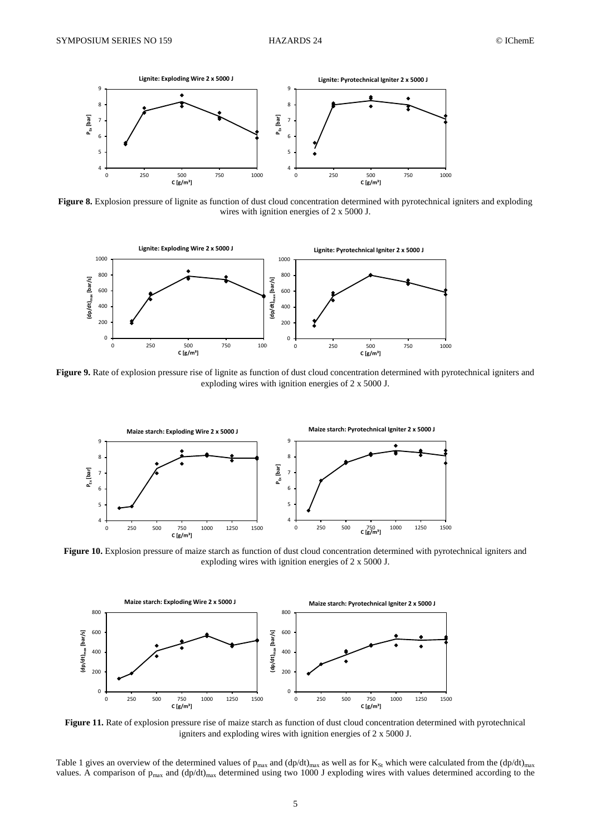

**Figure 8.** Explosion pressure of lignite as function of dust cloud concentration determined with pyrotechnical igniters and exploding wires with ignition energies of 2 x 5000 J.



Figure 9. Rate of explosion pressure rise of lignite as function of dust cloud concentration determined with pyrotechnical igniters and exploding wires with ignition energies of 2 x 5000 J.



Figure 10. Explosion pressure of maize starch as function of dust cloud concentration determined with pyrotechnical igniters and exploding wires with ignition energies of 2 x 5000 J.



**Figure 11.** Rate of explosion pressure rise of maize starch as function of dust cloud concentration determined with pyrotechnical igniters and exploding wires with ignition energies of 2 x 5000 J.

Table 1 gives an overview of the determined values of  $p_{max}$  and  $(dp/dt)_{max}$  as well as for  $K_{St}$  which were calculated from the  $(dp/dt)_{max}$ values. A comparison of  $p_{max}$  and  $(dp/dt)_{max}$  determined using two 1000 J exploding wires with values determined according to the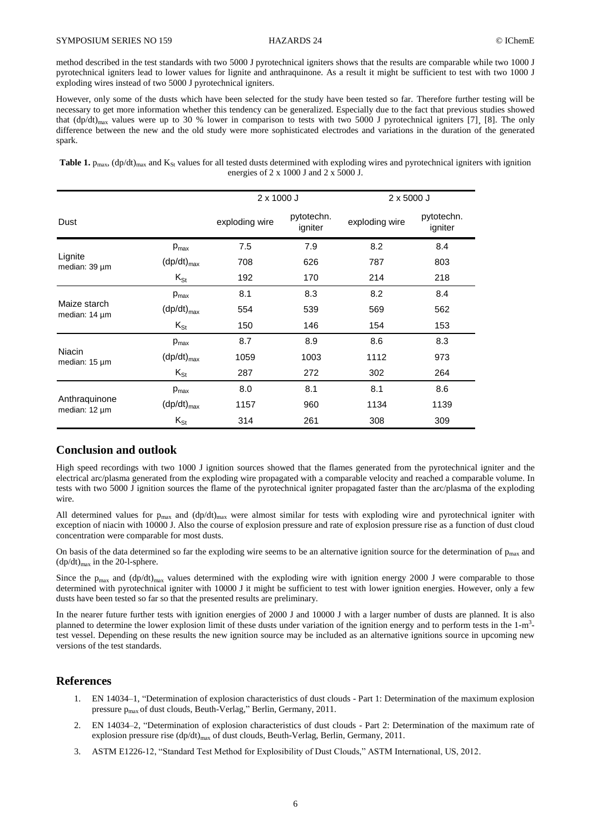method described in the test standards with two 5000 J pyrotechnical igniters shows that the results are comparable while two 1000 J pyrotechnical igniters lead to lower values for lignite and anthraquinone. As a result it might be sufficient to test with two 1000 J exploding wires instead of two 5000 J pyrotechnical igniters.

However, only some of the dusts which have been selected for the study have been tested so far. Therefore further testing will be necessary to get more information whether this tendency can be generalized. Especially due to the fact that previous studies showed that  $(dp/dt)_{max}$  values were up to 30 % lower in comparison to tests with two 5000 J pyrotechnical igniters [7], [8]. The only difference between the new and the old study were more sophisticated electrodes and variations in the duration of the generated spark.

**Table 1.**  $p_{max}$ ,  $(dp/dt)_{max}$  and  $K_{St}$  values for all tested dusts determined with exploding wires and pyrotechnical igniters with ignition energies of 2 x 1000 J and 2 x 5000 J.

|                                |                  | $2 \times 1000$ J |                       | $2 \times 5000$ J |                       |
|--------------------------------|------------------|-------------------|-----------------------|-------------------|-----------------------|
| Dust                           |                  | exploding wire    | pytotechn.<br>igniter | exploding wire    | pytotechn.<br>igniter |
| Lignite<br>median: 39 µm       | $p_{\text{max}}$ | 7.5               | 7.9                   | 8.2               | 8.4                   |
|                                | $(dp/dt)_{max}$  | 708               | 626                   | 787               | 803                   |
|                                | $K_{St}$         | 192               | 170                   | 214               | 218                   |
| Maize starch<br>median: 14 µm  | $p_{\text{max}}$ | 8.1               | 8.3                   | 8.2               | 8.4                   |
|                                | $(dp/dt)_{max}$  | 554               | 539                   | 569               | 562                   |
|                                | $K_{St}$         | 150               | 146                   | 154               | 153                   |
| Niacin<br>median: 15 µm        | $p_{\text{max}}$ | 8.7               | 8.9                   | 8.6               | 8.3                   |
|                                | $(dp/dt)_{max}$  | 1059              | 1003                  | 1112              | 973                   |
|                                | $K_{St}$         | 287               | 272                   | 302               | 264                   |
| Anthraquinone<br>median: 12 µm | $p_{\text{max}}$ | 8.0               | 8.1                   | 8.1               | 8.6                   |
|                                | $(dp/dt)_{max}$  | 1157              | 960                   | 1134              | 1139                  |
|                                | $K_{St}$         | 314               | 261                   | 308               | 309                   |

## **Conclusion and outlook**

High speed recordings with two 1000 J ignition sources showed that the flames generated from the pyrotechnical igniter and the electrical arc/plasma generated from the exploding wire propagated with a comparable velocity and reached a comparable volume. In tests with two 5000 J ignition sources the flame of the pyrotechnical igniter propagated faster than the arc/plasma of the exploding wire.

All determined values for  $p_{max}$  and  $(dp/dt)_{max}$  were almost similar for tests with exploding wire and pyrotechnical igniter with exception of niacin with 10000 J. Also the course of explosion pressure and rate of explosion pressure rise as a function of dust cloud concentration were comparable for most dusts.

On basis of the data determined so far the exploding wire seems to be an alternative ignition source for the determination of  $p_{max}$  and  $(dp/dt)_{max}$  in the 20-l-sphere.

Since the  $p_{\text{max}}$  and  $(dp/dt)_{\text{max}}$  values determined with the exploding wire with ignition energy 2000 J were comparable to those determined with pyrotechnical igniter with 10000 J it might be sufficient to test with lower ignition energies. However, only a few dusts have been tested so far so that the presented results are preliminary.

In the nearer future further tests with ignition energies of 2000 J and 10000 J with a larger number of dusts are planned. It is also planned to determine the lower explosion limit of these dusts under variation of the ignition energy and to perform tests in the 1-m<sup>3</sup>test vessel. Depending on these results the new ignition source may be included as an alternative ignitions source in upcoming new versions of the test standards.

## **References**

- 1. EN 14034–1, "Determination of explosion characteristics of dust clouds Part 1: Determination of the maximum explosion pressure pmax of dust clouds, Beuth-Verlag," Berlin, Germany, 2011.
- 2. EN 14034–2, "Determination of explosion characteristics of dust clouds Part 2: Determination of the maximum rate of explosion pressure rise  $(dp/dt)_{max}$  of dust clouds, Beuth-Verlag, Berlin, Germany, 2011.
- 3. ASTM E1226-12, "Standard Test Method for Explosibility of Dust Clouds," ASTM International, US, 2012.